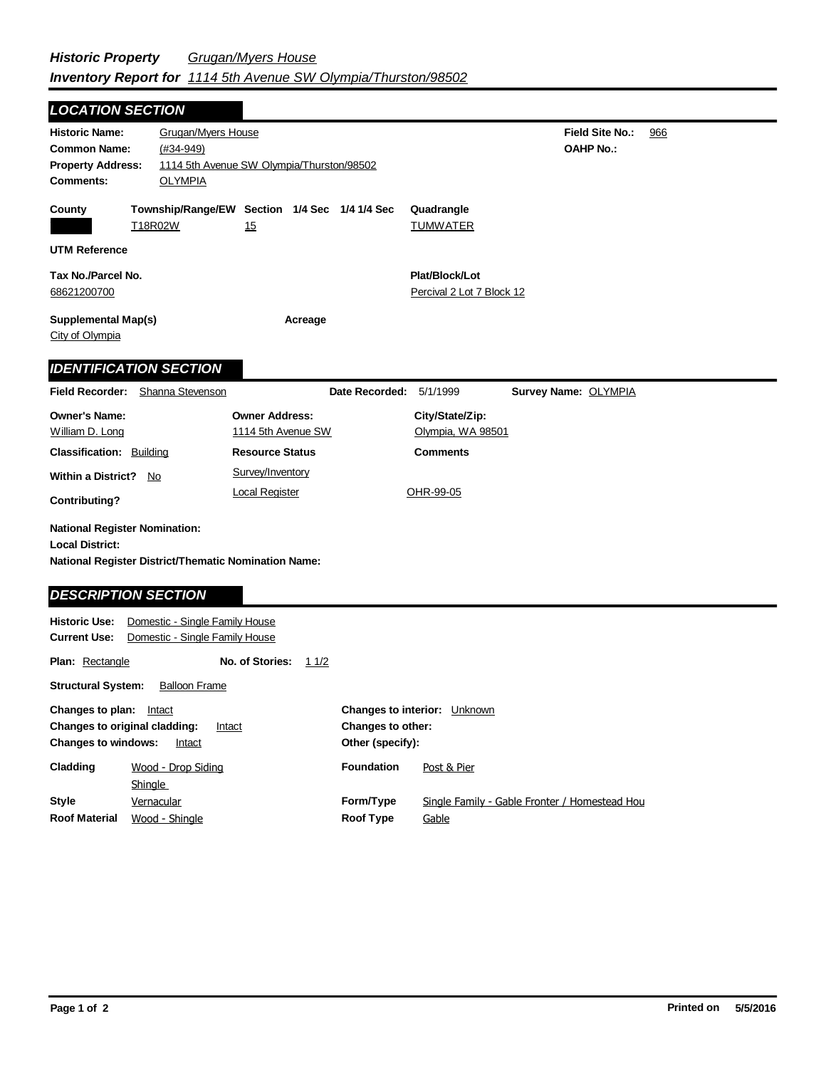| <b>LOCATION SECTION</b>                                                                                           |                              |                                                                  |                                                             |                               |                                                                       |                                               |  |
|-------------------------------------------------------------------------------------------------------------------|------------------------------|------------------------------------------------------------------|-------------------------------------------------------------|-------------------------------|-----------------------------------------------------------------------|-----------------------------------------------|--|
| <b>Historic Name:</b><br><b>Common Name:</b><br><b>Property Address:</b><br><b>Comments:</b>                      |                              | Grugan/Myers House<br>$(#34 - 949)$<br><b>OLYMPIA</b>            | 1114 5th Avenue SW Olympia/Thurston/98502                   |                               | <b>Field Site No.:</b><br><b>OAHP No.:</b>                            | 966                                           |  |
| County                                                                                                            | T18R02W                      |                                                                  | Township/Range/EW Section 1/4 Sec 1/4 1/4 Sec<br>15         |                               | Quadrangle<br><b>TUMWATER</b>                                         |                                               |  |
| <b>UTM Reference</b>                                                                                              |                              |                                                                  |                                                             |                               |                                                                       |                                               |  |
| Tax No./Parcel No.<br>68621200700                                                                                 |                              |                                                                  |                                                             |                               | Plat/Block/Lot<br>Percival 2 Lot 7 Block 12                           |                                               |  |
| <b>Supplemental Map(s)</b><br>City of Olympia                                                                     |                              |                                                                  | Acreage                                                     |                               |                                                                       |                                               |  |
| <b>IDENTIFICATION SECTION</b>                                                                                     |                              |                                                                  |                                                             |                               |                                                                       |                                               |  |
| <b>Field Recorder:</b>                                                                                            |                              | Shanna Stevenson                                                 |                                                             | Date Recorded:                | 5/1/1999                                                              | Survey Name: OLYMPIA                          |  |
| <b>Owner's Name:</b>                                                                                              |                              |                                                                  | <b>Owner Address:</b>                                       |                               | City/State/Zip:                                                       |                                               |  |
| William D. Long                                                                                                   |                              |                                                                  | 1114 5th Avenue SW                                          |                               | Olympia, WA 98501                                                     |                                               |  |
| <b>Classification: Building</b>                                                                                   |                              |                                                                  | <b>Resource Status</b>                                      |                               | <b>Comments</b>                                                       |                                               |  |
| <b>Within a District?</b><br><b>Contributing?</b>                                                                 | No                           |                                                                  | Survey/Inventory<br><b>Local Register</b>                   |                               | OHR-99-05                                                             |                                               |  |
| <b>National Register Nomination:</b><br><b>Local District:</b>                                                    |                              |                                                                  | <b>National Register District/Thematic Nomination Name:</b> |                               |                                                                       |                                               |  |
| <b>DESCRIPTION SECTION</b>                                                                                        |                              |                                                                  |                                                             |                               |                                                                       |                                               |  |
| <b>Historic Use:</b><br><b>Current Use:</b>                                                                       |                              | Domestic - Single Family House<br>Domestic - Single Family House |                                                             |                               |                                                                       |                                               |  |
| <b>Plan: Rectangle</b>                                                                                            |                              |                                                                  | No. of Stories:<br>11/2                                     |                               |                                                                       |                                               |  |
| <b>Structural System:</b>                                                                                         |                              | <b>Balloon Frame</b>                                             |                                                             |                               |                                                                       |                                               |  |
| Changes to plan: Intact<br>Changes to original cladding:<br><b>Intact</b><br><b>Changes to windows:</b><br>Intact |                              |                                                                  |                                                             |                               | Changes to interior: Unknown<br>Changes to other:<br>Other (specify): |                                               |  |
| Cladding                                                                                                          |                              | Wood - Drop Siding                                               |                                                             | Foundation                    | Post & Pier                                                           |                                               |  |
| <b>Style</b><br><b>Roof Material</b>                                                                              | <b>Shingle</b><br>Vernacular | Wood - Shingle                                                   |                                                             | Form/Type<br><b>Roof Type</b> | Gable                                                                 | Single Family - Gable Fronter / Homestead Hou |  |